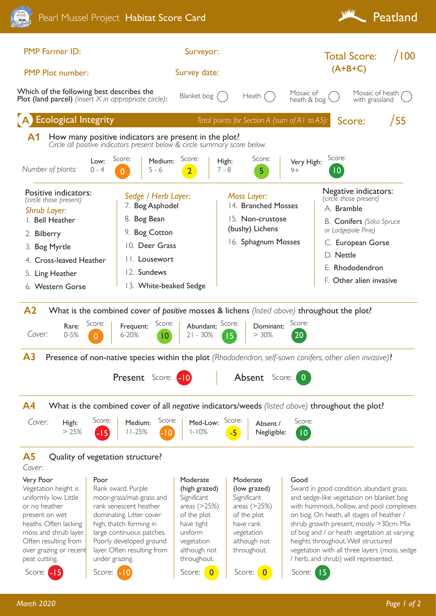